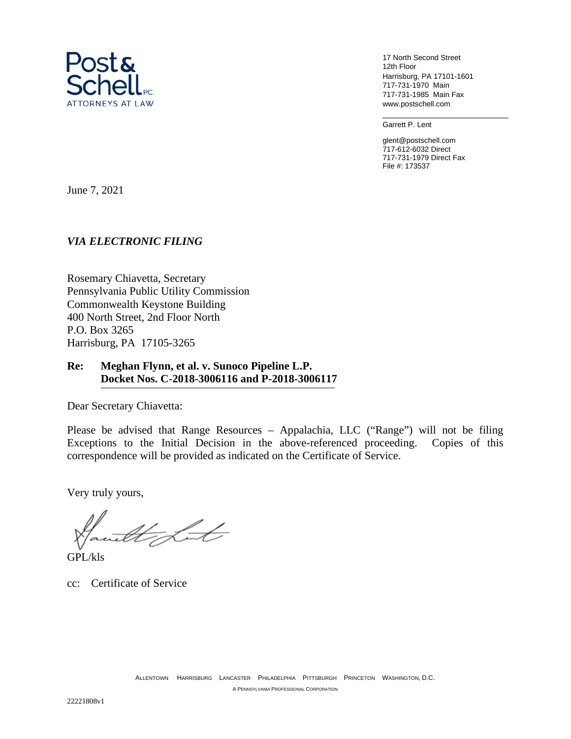

17 North Second Street 12th Floor Harrisburg, PA 17101-1601 717-731-1970 Main 717-731-1985 Main Fax www.postschell.com

Garrett P. Lent

glent@postschell.com 717-612-6032 Direct 717-731-1979 Direct Fax File #: 173537

June 7, 2021

## *VIA ELECTRONIC FILING*

Rosemary Chiavetta, Secretary Pennsylvania Public Utility Commission Commonwealth Keystone Building 400 North Street, 2nd Floor North P.O. Box 3265 Harrisburg, PA 17105-3265

## **Re: Meghan Flynn, et al. v. Sunoco Pipeline L.P. Docket Nos. C-2018-3006116 and P-2018-3006117**

Dear Secretary Chiavetta:

Please be advised that Range Resources – Appalachia, LLC ("Range") will not be filing Exceptions to the Initial Decision in the above-referenced proceeding. Copies of this correspondence will be provided as indicated on the Certificate of Service.

Very truly yours,

tte Lot

GPL/kls

cc: Certificate of Service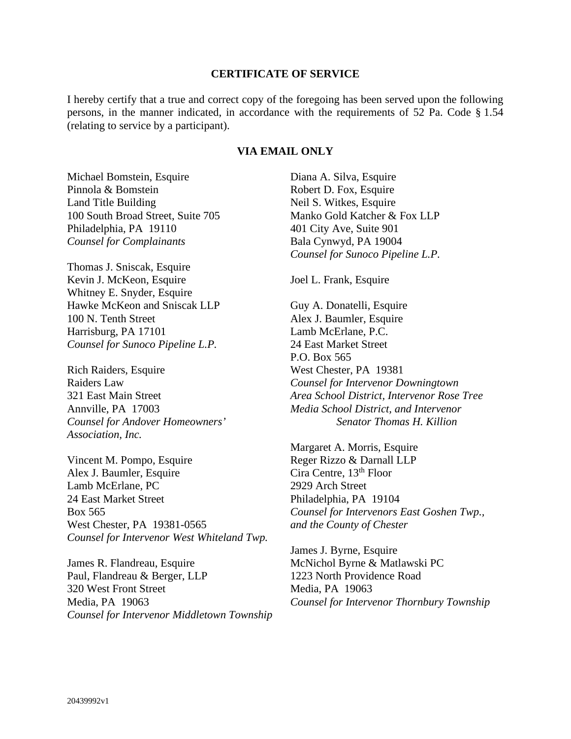## **CERTIFICATE OF SERVICE**

I hereby certify that a true and correct copy of the foregoing has been served upon the following persons, in the manner indicated, in accordance with the requirements of 52 Pa. Code § 1.54 (relating to service by a participant).

## **VIA EMAIL ONLY**

Michael Bomstein, Esquire Pinnola & Bomstein Land Title Building 100 South Broad Street, Suite 705 Philadelphia, PA 19110 *Counsel for Complainants* 

Thomas J. Sniscak, Esquire Kevin J. McKeon, Esquire Whitney E. Snyder, Esquire Hawke McKeon and Sniscak LLP 100 N. Tenth Street Harrisburg, PA 17101 *Counsel for Sunoco Pipeline L.P.* 

Rich Raiders, Esquire Raiders Law 321 East Main Street Annville, PA 17003 *Counsel for Andover Homeowners' Association, Inc.*

Vincent M. Pompo, Esquire Alex J. Baumler, Esquire Lamb McErlane, PC 24 East Market Street Box 565 West Chester, PA 19381-0565 *Counsel for Intervenor West Whiteland Twp.*

James R. Flandreau, Esquire Paul, Flandreau & Berger, LLP 320 West Front Street Media, PA 19063 *Counsel for Intervenor Middletown Township* Diana A. Silva, Esquire Robert D. Fox, Esquire Neil S. Witkes, Esquire Manko Gold Katcher & Fox LLP 401 City Ave, Suite 901 Bala Cynwyd, PA 19004 *Counsel for Sunoco Pipeline L.P.* 

Joel L. Frank, Esquire

Guy A. Donatelli, Esquire Alex J. Baumler, Esquire Lamb McErlane, P.C. 24 East Market Street P.O. Box 565 West Chester, PA 19381 *Counsel for Intervenor Downingtown Area School District, Intervenor Rose Tree Media School District, and Intervenor Senator Thomas H. Killion*

Margaret A. Morris, Esquire Reger Rizzo & Darnall LLP Cira Centre, 13th Floor 2929 Arch Street Philadelphia, PA 19104 *Counsel for Intervenors East Goshen Twp., and the County of Chester* 

James J. Byrne, Esquire McNichol Byrne & Matlawski PC 1223 North Providence Road Media, PA 19063 *Counsel for Intervenor Thornbury Township*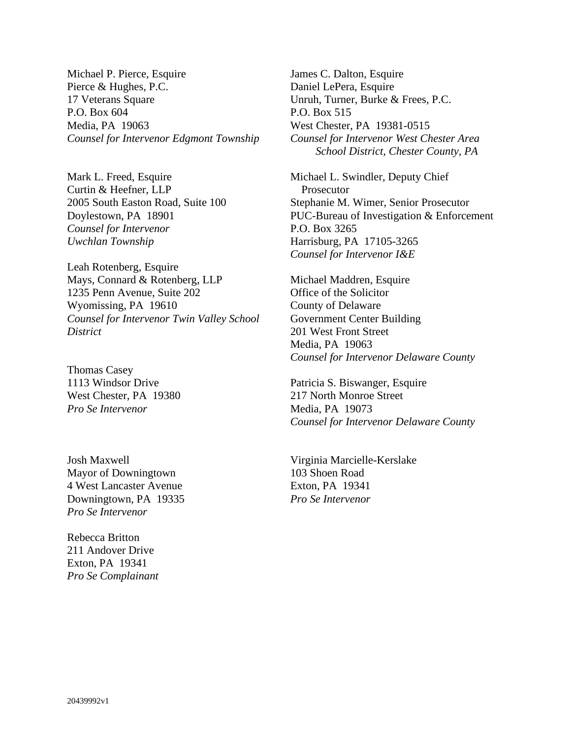Michael P. Pierce, Esquire Pierce & Hughes, P.C. 17 Veterans Square P.O. Box 604 Media, PA 19063 *Counsel for Intervenor Edgmont Township*

Mark L. Freed, Esquire Curtin & Heefner, LLP 2005 South Easton Road, Suite 100 Doylestown, PA 18901 *Counsel for Intervenor Uwchlan Township*

Leah Rotenberg, Esquire Mays, Connard & Rotenberg, LLP 1235 Penn Avenue, Suite 202 Wyomissing, PA 19610 *Counsel for Intervenor Twin Valley School District*

Thomas Casey 1113 Windsor Drive West Chester, PA 19380 *Pro Se Intervenor*

Josh Maxwell Mayor of Downingtown 4 West Lancaster Avenue Downingtown, PA 19335 *Pro Se Intervenor*

Rebecca Britton 211 Andover Drive Exton, PA 19341 *Pro Se Complainant* James C. Dalton, Esquire Daniel LePera, Esquire Unruh, Turner, Burke & Frees, P.C. P.O. Box 515 West Chester, PA 19381-0515 *Counsel for Intervenor West Chester Area School District, Chester County, PA*

Michael L. Swindler, Deputy Chief Prosecutor Stephanie M. Wimer, Senior Prosecutor PUC-Bureau of Investigation & Enforcement P.O. Box 3265 Harrisburg, PA 17105-3265 *Counsel for Intervenor I&E*

Michael Maddren, Esquire Office of the Solicitor County of Delaware Government Center Building 201 West Front Street Media, PA 19063 *Counsel for Intervenor Delaware County*

Patricia S. Biswanger, Esquire 217 North Monroe Street Media, PA 19073 *Counsel for Intervenor Delaware County* 

Virginia Marcielle-Kerslake 103 Shoen Road Exton, PA 19341 *Pro Se Intervenor*